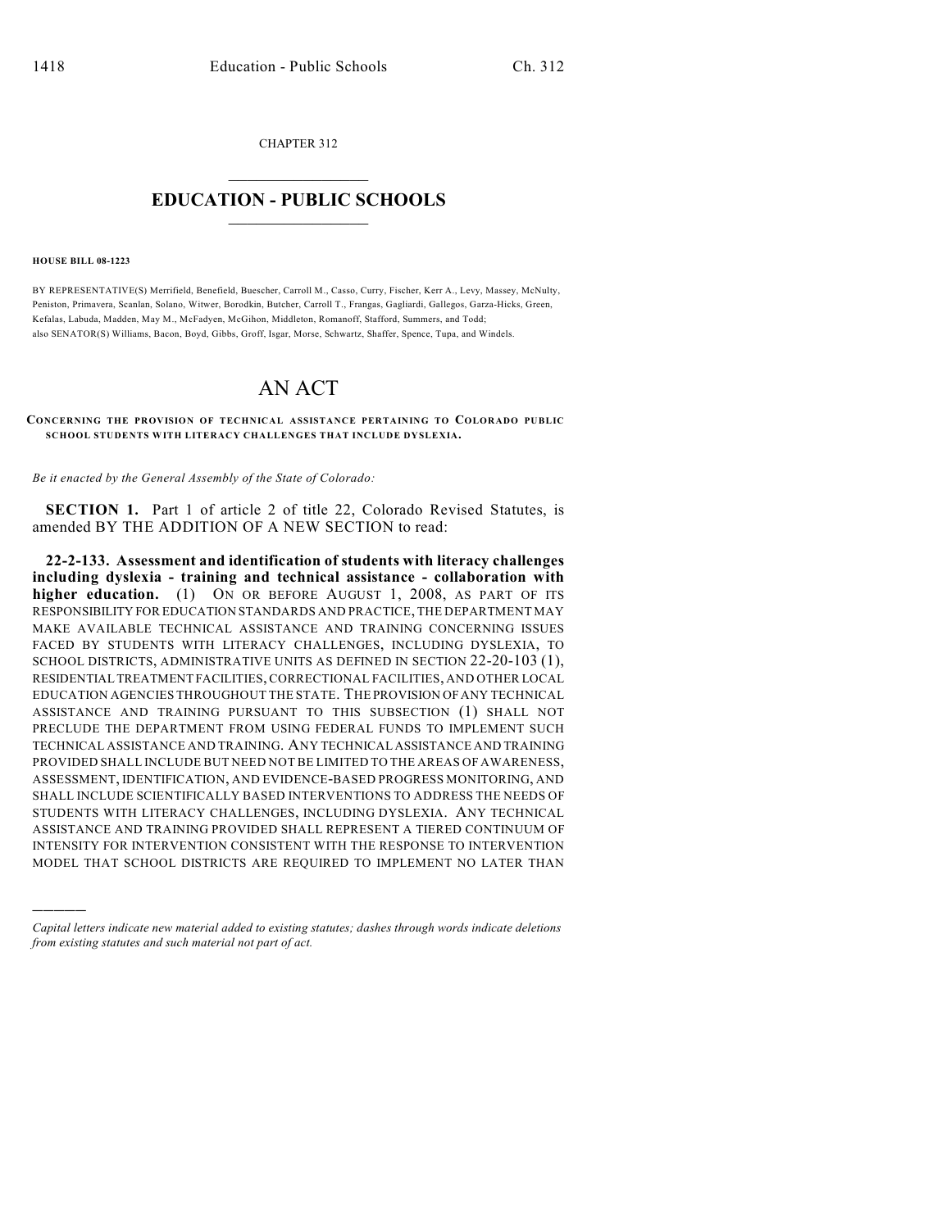CHAPTER 312  $\overline{\phantom{a}}$  . The set of the set of the set of the set of the set of the set of the set of the set of the set of the set of the set of the set of the set of the set of the set of the set of the set of the set of the set o

## **EDUCATION - PUBLIC SCHOOLS**  $\_$   $\_$   $\_$   $\_$   $\_$   $\_$   $\_$   $\_$   $\_$

## **HOUSE BILL 08-1223**

)))))

BY REPRESENTATIVE(S) Merrifield, Benefield, Buescher, Carroll M., Casso, Curry, Fischer, Kerr A., Levy, Massey, McNulty, Peniston, Primavera, Scanlan, Solano, Witwer, Borodkin, Butcher, Carroll T., Frangas, Gagliardi, Gallegos, Garza-Hicks, Green, Kefalas, Labuda, Madden, May M., McFadyen, McGihon, Middleton, Romanoff, Stafford, Summers, and Todd; also SENATOR(S) Williams, Bacon, Boyd, Gibbs, Groff, Isgar, Morse, Schwartz, Shaffer, Spence, Tupa, and Windels.

## AN ACT

## **CONCERNING THE PROVISION OF TECHNICAL ASSISTANCE PERTAINING TO COLORADO PUBLIC SCHOOL STUDENTS WITH LITERACY CHALLENGES THAT INCLUDE DYSLEXIA.**

*Be it enacted by the General Assembly of the State of Colorado:*

**SECTION 1.** Part 1 of article 2 of title 22, Colorado Revised Statutes, is amended BY THE ADDITION OF A NEW SECTION to read:

**22-2-133. Assessment and identification of students with literacy challenges including dyslexia - training and technical assistance - collaboration with higher education.** (1) ON OR BEFORE AUGUST 1, 2008, AS PART OF ITS RESPONSIBILITY FOR EDUCATION STANDARDS AND PRACTICE, THE DEPARTMENT MAY MAKE AVAILABLE TECHNICAL ASSISTANCE AND TRAINING CONCERNING ISSUES FACED BY STUDENTS WITH LITERACY CHALLENGES, INCLUDING DYSLEXIA, TO SCHOOL DISTRICTS, ADMINISTRATIVE UNITS AS DEFINED IN SECTION 22-20-103 (1), RESIDENTIAL TREATMENT FACILITIES, CORRECTIONAL FACILITIES, AND OTHER LOCAL EDUCATION AGENCIES THROUGHOUT THE STATE. THE PROVISION OF ANY TECHNICAL ASSISTANCE AND TRAINING PURSUANT TO THIS SUBSECTION (1) SHALL NOT PRECLUDE THE DEPARTMENT FROM USING FEDERAL FUNDS TO IMPLEMENT SUCH TECHNICAL ASSISTANCE AND TRAINING. ANY TECHNICAL ASSISTANCE AND TRAINING PROVIDED SHALL INCLUDE BUT NEED NOT BE LIMITED TO THE AREAS OF AWARENESS, ASSESSMENT, IDENTIFICATION, AND EVIDENCE-BASED PROGRESS MONITORING, AND SHALL INCLUDE SCIENTIFICALLY BASED INTERVENTIONS TO ADDRESS THE NEEDS OF STUDENTS WITH LITERACY CHALLENGES, INCLUDING DYSLEXIA. ANY TECHNICAL ASSISTANCE AND TRAINING PROVIDED SHALL REPRESENT A TIERED CONTINUUM OF INTENSITY FOR INTERVENTION CONSISTENT WITH THE RESPONSE TO INTERVENTION MODEL THAT SCHOOL DISTRICTS ARE REQUIRED TO IMPLEMENT NO LATER THAN

*Capital letters indicate new material added to existing statutes; dashes through words indicate deletions from existing statutes and such material not part of act.*